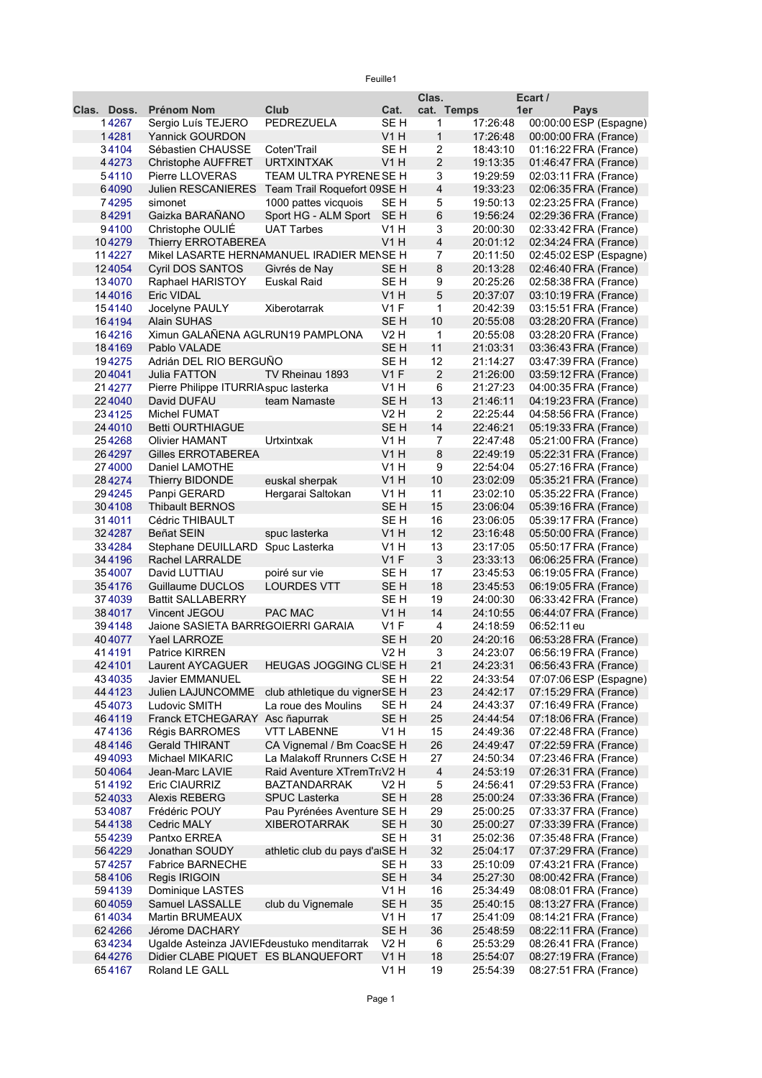Feuille1

|             |                                            |                                           |                 | Clas.          |          | Ecart /                |  |
|-------------|--------------------------------------------|-------------------------------------------|-----------------|----------------|----------|------------------------|--|
| Clas. Doss. | <b>Prénom Nom</b>                          | Club                                      | Cat.            | cat. Temps     |          | 1er<br><b>Pays</b>     |  |
| 14267       | Sergio Luís TEJERO                         | PEDREZUELA                                | SE <sub>H</sub> | 1              | 17:26:48 | 00:00:00 ESP (Espagne) |  |
| 14281       | <b>Yannick GOURDON</b>                     |                                           | V1H             | $\mathbf{1}$   | 17:26:48 | 00:00:00 FRA (France)  |  |
| 34104       | Sébastien CHAUSSE                          | Coten'Trail                               | SE H            | 2              | 18:43:10 | 01:16:22 FRA (France)  |  |
| 44273       | Christophe AUFFRET                         | <b>URTXINTXAK</b>                         | V1 H            | $\overline{c}$ | 19:13:35 | 01:46:47 FRA (France)  |  |
| 54110       | <b>Pierre LLOVERAS</b>                     | TEAM ULTRA PYRENEISE H                    |                 | 3              | 19:29:59 | 02:03:11 FRA (France)  |  |
| 64090       | <b>Julien RESCANIERES</b>                  | Team Trail Roquefort 09SE H               |                 | $\overline{4}$ | 19:33:23 | 02:06:35 FRA (France)  |  |
| 74295       | simonet                                    | 1000 pattes vicquois                      | SE H            | 5              | 19:50:13 | 02:23:25 FRA (France)  |  |
| 84291       | Gaizka BARAÑANO                            | Sport HG - ALM Sport                      | SE H            | 6              | 19:56:24 | 02:29:36 FRA (France)  |  |
| 94100       | Christophe OULIÉ                           | <b>UAT Tarbes</b>                         | V1 H            | 3              | 20:00:30 | 02:33:42 FRA (France)  |  |
| 104279      | <b>Thierry ERROTABEREA</b>                 |                                           | V1H             | $\overline{4}$ | 20:01:12 | 02:34:24 FRA (France)  |  |
| 114227      |                                            | Mikel LASARTE HERNAMANUEL IRADIER MENSE H |                 | 7              | 20:11:50 | 02:45:02 ESP (Espagne) |  |
| 124054      | <b>Cyril DOS SANTOS</b>                    | Givrés de Nay                             | SE <sub>H</sub> | 8              | 20:13:28 | 02:46:40 FRA (France)  |  |
| 134070      | Raphael HARISTOY                           | Euskal Raid                               | SE <sub>H</sub> | 9              | 20:25:26 | 02:58:38 FRA (France)  |  |
| 144016      | Eric VIDAL                                 |                                           | V1 H            | 5              | 20:37:07 | 03:10:19 FRA (France)  |  |
| 154140      | Jocelyne PAULY                             | Xiberotarrak                              | $V1$ F          | 1              | 20:42:39 | 03:15:51 FRA (France)  |  |
| 164194      | <b>Alain SUHAS</b>                         |                                           | SE <sub>H</sub> | 10             | 20:55:08 | 03:28:20 FRA (France)  |  |
| 164216      | Ximun GALAÑENA AGURUN19 PAMPLONA           |                                           | V2 H            | 1              | 20:55:08 | 03:28:20 FRA (France)  |  |
| 184169      | Pablo VALADE                               |                                           | SE <sub>H</sub> | 11             | 21:03:31 | 03:36:43 FRA (France)  |  |
| 194275      | Adrián DEL RIO BERGUNO                     |                                           | SE <sub>H</sub> | 12             | 21:14:27 | 03:47:39 FRA (France)  |  |
| 204041      |                                            | TV Rheinau 1893                           | V1F             | $\overline{2}$ | 21:26:00 | 03:59:12 FRA (France)  |  |
|             | Julia FATTON                               |                                           |                 |                |          |                        |  |
| 214277      | Pierre Philippe ITURRIA spuc lasterka      |                                           | V1 H            | 6              | 21:27:23 | 04:00:35 FRA (France)  |  |
| 224040      | David DUFAU                                | team Namaste                              | SE <sub>H</sub> | 13             | 21:46:11 | 04:19:23 FRA (France)  |  |
| 234125      | Michel FUMAT                               |                                           | V2H             | $\overline{2}$ | 22:25:44 | 04:58:56 FRA (France)  |  |
| 244010      | <b>Betti OURTHIAGUE</b>                    |                                           | SE <sub>H</sub> | 14             | 22:46:21 | 05:19:33 FRA (France)  |  |
| 254268      | <b>Olivier HAMANT</b>                      | Urtxintxak                                | V1 H            | 7              | 22:47:48 | 05:21:00 FRA (France)  |  |
| 264297      | Gilles ERROTABEREA                         |                                           | V1H             | 8              | 22:49:19 | 05:22:31 FRA (France)  |  |
| 274000      | Daniel LAMOTHE                             |                                           | V1 H            | 9              | 22:54:04 | 05:27:16 FRA (France)  |  |
| 284274      | Thierry BIDONDE                            | euskal sherpak                            | V1H             | 10             | 23:02:09 | 05:35:21 FRA (France)  |  |
| 294245      | Panpi GERARD                               | Hergarai Saltokan                         | V1 H            | 11             | 23:02:10 | 05:35:22 FRA (France)  |  |
| 304108      | Thibault BERNOS                            |                                           | SE <sub>H</sub> | 15             | 23:06:04 | 05:39:16 FRA (France)  |  |
| 314011      | Cédric THIBAULT                            |                                           | SE <sub>H</sub> | 16             | 23:06:05 | 05:39:17 FRA (France)  |  |
| 324287      | Beñat SEIN                                 | spuc lasterka                             | V1H             | 12             | 23:16:48 | 05:50:00 FRA (France)  |  |
| 334284      | Stephane DEUILLARD                         | Spuc Lasterka                             | V1 H            | 13             | 23:17:05 | 05:50:17 FRA (France)  |  |
| 344196      | Rachel LARRALDE                            |                                           | V1F             | $\sqrt{3}$     | 23:33:13 | 06:06:25 FRA (France)  |  |
| 354007      | David LUTTIAU                              | poiré sur vie                             | SE <sub>H</sub> | 17             | 23:45:53 | 06:19:05 FRA (France)  |  |
| 354176      | Guillaume DUCLOS                           | <b>LOURDES VTT</b>                        | SE <sub>H</sub> | 18             | 23:45:53 | 06:19:05 FRA (France)  |  |
| 374039      | <b>Battit SALLABERRY</b>                   |                                           | SE H            | 19             | 24:00:30 | 06:33:42 FRA (France)  |  |
| 384017      | Vincent JEGOU                              | PAC MAC                                   | V1H             | 14             | 24:10:55 | 06:44:07 FRA (France)  |  |
| 394148      | Jaione SASIETA BARRIGOIERRI GARAIA         |                                           | V1 F            | 4              | 24:18:59 | 06:52:11 eu            |  |
| 404077      | Yael LARROZE                               |                                           | SE <sub>H</sub> | 20             | 24:20:16 | 06:53:28 FRA (France)  |  |
| 414191      | <b>Patrice KIRREN</b>                      |                                           | V2 H            | 3              | 24:23:07 | 06:56:19 FRA (France)  |  |
| 424101      | Laurent AYCAGUER                           | HEUGAS JOGGING CLISE H                    |                 | 21             | 24:23:31 | 06:56:43 FRA (France)  |  |
| 434035      | Javier EMMANUEL                            |                                           | SE H            | 22             | 24:33:54 | 07:07:06 ESP (Espagne) |  |
| 444123      | Julien LAJUNCOMME                          | club athletique du vignerSE H             |                 | 23             | 24:42:17 | 07:15:29 FRA (France)  |  |
| 454073      | Ludovic SMITH                              | La roue des Moulins                       | SE H            | 24             | 24:43:37 | 07:16:49 FRA (France)  |  |
| 464119      | Franck ETCHEGARAY Asc ñapurrak             |                                           | SE <sub>H</sub> | 25             | 24:44:54 | 07:18:06 FRA (France)  |  |
| 474136      | Régis BARROMES                             | <b>VTT LABENNE</b>                        | V1 H            | 15             | 24:49:36 | 07:22:48 FRA (France)  |  |
| 484146      | <b>Gerald THIRANT</b>                      | CA Vignemal / Bm CoacSE H                 |                 | 26             | 24:49:47 | 07:22:59 FRA (France)  |  |
| 494093      | Michael MIKARIC                            | La Malakoff Rrunners C(SE H               |                 | 27             | 24:50:34 | 07:23:46 FRA (France)  |  |
| 504064      | Jean-Marc LAVIE                            | Raid Aventure XTremTraV2 H                |                 | 4              | 24:53:19 | 07:26:31 FRA (France)  |  |
| 514192      | Eric CIAURRIZ                              | <b>BAZTANDARRAK</b>                       | V2 H            | 5              | 24:56:41 | 07:29:53 FRA (France)  |  |
| 524033      | Alexis REBERG                              | <b>SPUC Lasterka</b>                      | SE <sub>H</sub> | 28             | 25:00:24 | 07:33:36 FRA (France)  |  |
| 534087      | Frédéric POUY                              | Pau Pyrénées Aventure SE H                |                 | 29             | 25:00:25 | 07:33:37 FRA (France)  |  |
| 544138      | <b>Cedric MALY</b>                         | <b>XIBEROTARRAK</b>                       | SE H            | 30             | 25:00:27 | 07:33:39 FRA (France)  |  |
| 554239      | Pantxo ERREA                               |                                           | SE H            | 31             | 25:02:36 | 07:35:48 FRA (France)  |  |
| 564229      | Jonathan SOUDY                             | athletic club du pays d'aiSE H            |                 | 32             | 25:04:17 | 07:37:29 FRA (France)  |  |
| 574257      | <b>Fabrice BARNECHE</b>                    |                                           | SE H            | 33             | 25:10:09 | 07:43:21 FRA (France)  |  |
| 584106      | Regis IRIGOIN                              |                                           | SE H            | 34             | 25:27:30 | 08:00:42 FRA (France)  |  |
| 594139      | Dominique LASTES                           |                                           | V1 H            | 16             | 25:34:49 | 08:08:01 FRA (France)  |  |
| 604059      | Samuel LASSALLE                            | club du Vignemale                         | SE <sub>H</sub> | 35             | 25:40:15 | 08:13:27 FRA (France)  |  |
| 614034      | Martin BRUMEAUX                            |                                           | V1 H            | 17             | 25:41:09 | 08:14:21 FRA (France)  |  |
| 624266      | Jérome DACHARY                             |                                           | SE <sub>H</sub> | 36             | 25:48:59 | 08:22:11 FRA (France)  |  |
| 634234      | Ugalde Asteinza JAVIEFdeustuko menditarrak |                                           | V2 H            | 6              | 25:53:29 | 08:26:41 FRA (France)  |  |
| 644276      | Didier CLABE PIQUET ES BLANQUEFORT         |                                           | V1H             | 18             | 25:54:07 | 08:27:19 FRA (France)  |  |
| 654167      | Roland LE GALL                             |                                           | V1 H            | 19             | 25:54:39 | 08:27:51 FRA (France)  |  |
|             |                                            |                                           |                 |                |          |                        |  |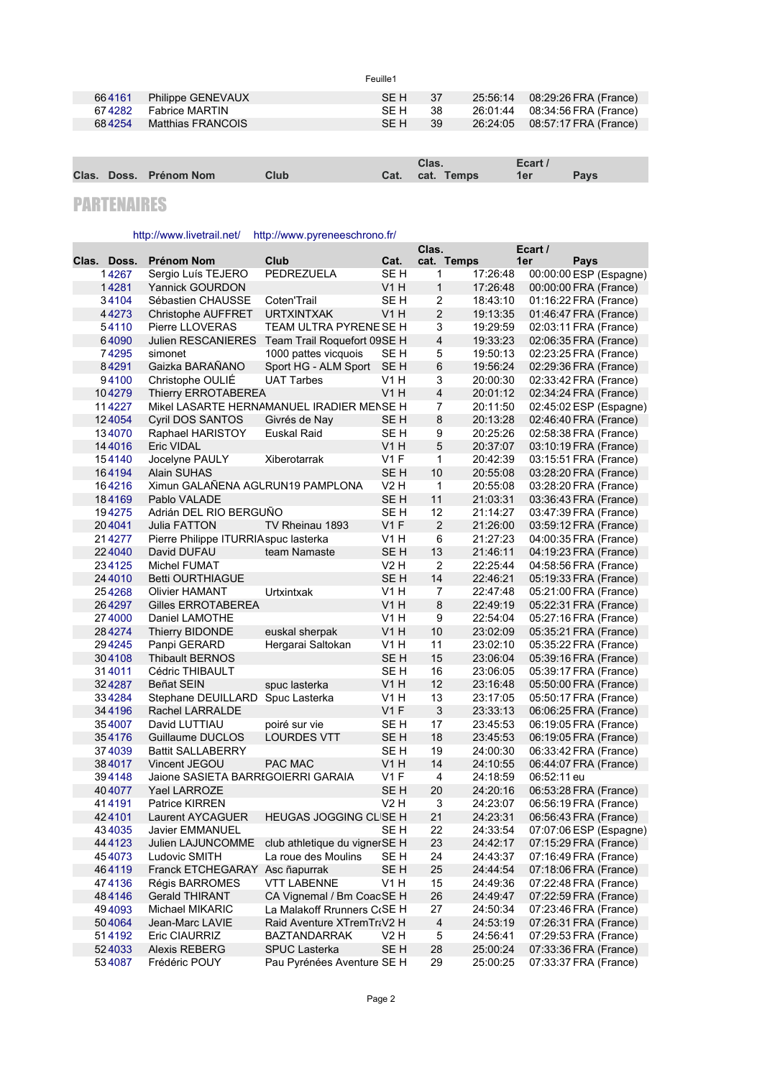| 664161 | Philippe GENEVAUX     | SEH 37 |      | 25:56:14 08:29:26 FRA (France) |
|--------|-----------------------|--------|------|--------------------------------|
|        | 674282 Fabrice MARTIN | -SF H  | - 38 | 26:01:44 08:34:56 FRA (France) |
| 684254 | Matthias FRANCOIS     | SE H   | - 39 | 26:24:05 08:57:17 FRA (France) |
|        |                       |        |      |                                |

Feuille1

|  |                        |      | Clas.           | Ecart /    |             |
|--|------------------------|------|-----------------|------------|-------------|
|  | Clas. Doss. Prénom Nom | Club | Cat. cat. Temps | <b>der</b> | <b>Pavs</b> |

## PARTENAIRES

## http://www.livetrail.net/<http://www.pyreneeschrono.fr/>

|             |                                           |                               |                  | Clas.                   |          | Ecart /                |  |
|-------------|-------------------------------------------|-------------------------------|------------------|-------------------------|----------|------------------------|--|
| Clas. Doss. | Prénom Nom                                | Club                          | Cat.             | cat. Temps              |          | 1er<br>Pays            |  |
| 14267       | Sergio Luís TEJERO                        | PEDREZUELA                    | SE H             | 1                       | 17:26:48 | 00:00:00 ESP (Espagne) |  |
| 14281       | Yannick GOURDON                           |                               | V <sub>1</sub> H | 1                       | 17:26:48 | 00:00:00 FRA (France)  |  |
| 34104       | Sébastien CHAUSSE                         | Coten'Trail                   | SE <sub>H</sub>  | $\overline{\mathbf{c}}$ | 18:43:10 | 01:16:22 FRA (France)  |  |
| 44273       | <b>Christophe AUFFRET</b>                 | <b>URTXINTXAK</b>             | V <sub>1</sub> H | $\overline{\mathbf{c}}$ | 19:13:35 | 01:46:47 FRA (France)  |  |
| 54110       | <b>Pierre LLOVERAS</b>                    | TEAM ULTRA PYRENEISE H        |                  | 3                       | 19:29:59 | 02:03:11 FRA (France)  |  |
| 64090       | <b>Julien RESCANIERES</b>                 | Team Trail Roquefort 09SE H   |                  | $\overline{\mathbf{4}}$ | 19:33:23 | 02:06:35 FRA (France)  |  |
| 74295       | simonet                                   | 1000 pattes vicquois          | SE H             | 5                       | 19:50:13 | 02:23:25 FRA (France)  |  |
| 84291       | Gaizka BARAÑANO                           | Sport HG - ALM Sport          | SE <sub>H</sub>  | 6                       | 19:56:24 | 02:29:36 FRA (France)  |  |
| 94100       | Christophe OULIE                          | <b>UAT Tarbes</b>             | <b>V1 H</b>      | 3                       | 20:00:30 | 02:33:42 FRA (France)  |  |
| 104279      | <b>Thierry ERROTABEREA</b>                |                               | V1H              | $\overline{\mathbf{4}}$ | 20:01:12 | 02:34:24 FRA (France)  |  |
| 114227      | Mikel LASARTE HERNAMANUEL IRADIER MENSE H |                               |                  | 7                       | 20:11:50 | 02:45:02 ESP (Espagne) |  |
| 124054      | Cyril DOS SANTOS                          | Givrés de Nay                 | SE <sub>H</sub>  | 8                       | 20:13:28 | 02:46:40 FRA (France)  |  |
| 134070      | Raphael HARISTOY                          | Euskal Raid                   | SE H             | 9                       | 20:25:26 | 02:58:38 FRA (France)  |  |
| 144016      | Eric VIDAL                                |                               | V1 H             | 5                       | 20:37:07 | 03:10:19 FRA (France)  |  |
| 154140      | Jocelyne PAULY                            | Xiberotarrak                  | V1F              | 1                       | 20:42:39 | 03:15:51 FRA (France)  |  |
| 164194      | <b>Alain SUHAS</b>                        |                               | SE <sub>H</sub>  | 10                      | 20:55:08 | 03:28:20 FRA (France)  |  |
| 164216      | Ximun GALAÑENA AGLRUN19 PAMPLONA          |                               | V2 H             | $\mathbf{1}$            | 20:55:08 | 03:28:20 FRA (France)  |  |
| 184169      | Pablo VALADE                              |                               | SE H             | 11                      | 21:03:31 | 03:36:43 FRA (France)  |  |
| 194275      | Adrián DEL RIO BERGUÑO                    |                               | SE H             | 12                      | 21:14:27 | 03:47:39 FRA (France)  |  |
| 204041      | <b>Julia FATTON</b>                       | TV Rheinau 1893               | V1F              | $\overline{2}$          | 21:26:00 | 03:59:12 FRA (France)  |  |
| 214277      | Pierre Philippe ITURRIA spuc lasterka     |                               | V1 H             | 6                       | 21:27:23 | 04:00:35 FRA (France)  |  |
| 224040      | David DUFAU                               | team Namaste                  | SE <sub>H</sub>  | 13                      | 21:46:11 | 04:19:23 FRA (France)  |  |
| 234125      | Michel FUMAT                              |                               | V2H              | $\overline{2}$          | 22:25:44 | 04:58:56 FRA (France)  |  |
| 244010      | <b>Betti OURTHIAGUE</b>                   |                               | SE <sub>H</sub>  | 14                      | 22:46:21 | 05:19:33 FRA (France)  |  |
| 254268      | <b>Olivier HAMANT</b>                     | Urtxintxak                    | V1 H             | 7                       | 22:47:48 | 05:21:00 FRA (France)  |  |
| 264297      | Gilles ERROTABEREA                        |                               | V1H              | 8                       | 22:49:19 | 05:22:31 FRA (France)  |  |
| 274000      | Daniel LAMOTHE                            |                               | <b>V1 H</b>      | 9                       | 22:54:04 | 05:27:16 FRA (France)  |  |
| 284274      | Thierry BIDONDE                           | euskal sherpak                | V1H              | 10                      | 23:02:09 | 05:35:21 FRA (France)  |  |
| 294245      | Panpi GERARD                              | Hergarai Saltokan             | V1 H             | 11                      | 23:02:10 | 05:35:22 FRA (France)  |  |
| 304108      | <b>Thibault BERNOS</b>                    |                               | SE <sub>H</sub>  | 15                      | 23:06:04 | 05:39:16 FRA (France)  |  |
| 314011      | Cédric THIBAULT                           |                               | SE H             | 16                      | 23:06:05 | 05:39:17 FRA (France)  |  |
| 324287      | Beñat SEIN                                | spuc lasterka                 | V1 H             | 12                      | 23:16:48 | 05:50:00 FRA (France)  |  |
| 334284      | Stephane DEUILLARD                        | Spuc Lasterka                 | <b>V1 H</b>      | 13                      | 23:17:05 | 05:50:17 FRA (France)  |  |
| 344196      | Rachel LARRALDE                           |                               | V1F              | $\mathbf{3}$            | 23:33:13 | 06:06:25 FRA (France)  |  |
| 354007      | David LUTTIAU                             | poiré sur vie                 | SE H             | 17                      | 23:45:53 | 06:19:05 FRA (France)  |  |
| 354176      | Guillaume DUCLOS                          | <b>LOURDES VTT</b>            | SE H             | 18                      | 23:45:53 | 06:19:05 FRA (France)  |  |
| 374039      | <b>Battit SALLABERRY</b>                  |                               | SE H             | 19                      | 24:00:30 | 06:33:42 FRA (France)  |  |
| 384017      | Vincent JEGOU                             | PAC MAC                       | V1H              | 14                      | 24:10:55 | 06:44:07 FRA (France)  |  |
| 394148      | Jaione SASIETA BARRIGOIERRI GARAIA        |                               | V1F              | 4                       | 24:18:59 | 06:52:11 eu            |  |
| 404077      | Yael LARROZE                              |                               | SE <sub>H</sub>  | 20                      | 24:20:16 | 06:53:28 FRA (France)  |  |
| 414191      | <b>Patrice KIRREN</b>                     |                               | V2 H             | 3                       | 24:23:07 | 06:56:19 FRA (France)  |  |
| 424101      | Laurent AYCAGUER                          | HEUGAS JOGGING CLISE H        |                  | 21                      | 24:23:31 | 06:56:43 FRA (France)  |  |
| 434035      | Javier EMMANUEL                           |                               | SE H             | 22                      | 24:33:54 | 07:07:06 ESP (Espagne) |  |
| 44 41 23    | Julien LAJUNCOMME                         | club athletique du vignerSE H |                  | 23                      | 24:42:17 | 07:15:29 FRA (France)  |  |
| 454073      | Ludovic SMITH                             | La roue des Moulins           | SE H             | 24                      | 24:43:37 | 07:16:49 FRA (France)  |  |
| 464119      | Franck ETCHEGARAY Asc ñapurrak            |                               | SE H             | 25                      | 24:44:54 | 07:18:06 FRA (France)  |  |
| 474136      | Régis BARROMES                            | <b>VTT LABENNE</b>            | V1H              | 15                      | 24:49:36 | 07:22:48 FRA (France)  |  |
| 484146      | <b>Gerald THIRANT</b>                     | CA Vignemal / Bm CoacSE H     |                  | 26                      | 24:49:47 | 07:22:59 FRA (France)  |  |
| 494093      | Michael MIKARIC                           | La Malakoff Rrunners CGSE H   |                  | 27                      | 24:50:34 | 07:23:46 FRA (France)  |  |
| 504064      | Jean-Marc LAVIE                           | Raid Aventure XTremTraV2 H    |                  | 4                       | 24:53:19 | 07:26:31 FRA (France)  |  |
| 514192      | <b>Eric CIAURRIZ</b>                      | <b>BAZTANDARRAK</b>           | V2 H             | 5                       | 24:56:41 | 07:29:53 FRA (France)  |  |
| 524033      | <b>Alexis REBERG</b>                      | <b>SPUC Lasterka</b>          | SE <sub>H</sub>  | 28                      | 25:00:24 | 07:33:36 FRA (France)  |  |
| 534087      | Frédéric POUY                             | Pau Pyrénées Aventure SE H    |                  | 29                      | 25:00:25 | 07:33:37 FRA (France)  |  |
|             |                                           |                               |                  |                         |          |                        |  |